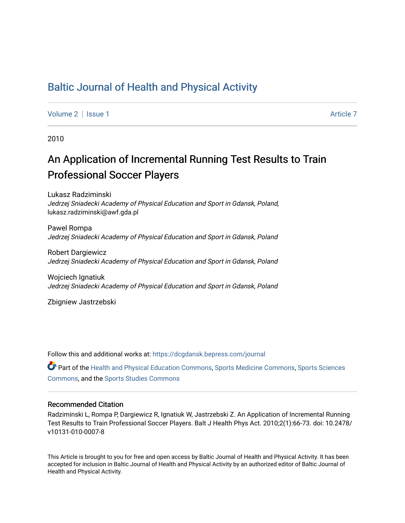### [Baltic Journal of Health and Physical Activity](https://dcgdansk.bepress.com/journal)

[Volume 2](https://dcgdansk.bepress.com/journal/vol2) | [Issue 1](https://dcgdansk.bepress.com/journal/vol2/iss1) Article 7

2010

## An Application of Incremental Running Test Results to Train Professional Soccer Players

Lukasz Radziminski Jedrzej Sniadecki Academy of Physical Education and Sport in Gdansk, Poland, lukasz.radziminski@awf.gda.pl

Pawel Rompa Jedrzej Sniadecki Academy of Physical Education and Sport in Gdansk, Poland

Robert Dargiewicz Jedrzej Sniadecki Academy of Physical Education and Sport in Gdansk, Poland

Wojciech Ignatiuk Jedrzej Sniadecki Academy of Physical Education and Sport in Gdansk, Poland

Zbigniew Jastrzebski

Follow this and additional works at: [https://dcgdansk.bepress.com/journal](https://dcgdansk.bepress.com/journal?utm_source=dcgdansk.bepress.com%2Fjournal%2Fvol2%2Fiss1%2F7&utm_medium=PDF&utm_campaign=PDFCoverPages)

Part of the [Health and Physical Education Commons](http://network.bepress.com/hgg/discipline/1327?utm_source=dcgdansk.bepress.com%2Fjournal%2Fvol2%2Fiss1%2F7&utm_medium=PDF&utm_campaign=PDFCoverPages), [Sports Medicine Commons,](http://network.bepress.com/hgg/discipline/1331?utm_source=dcgdansk.bepress.com%2Fjournal%2Fvol2%2Fiss1%2F7&utm_medium=PDF&utm_campaign=PDFCoverPages) [Sports Sciences](http://network.bepress.com/hgg/discipline/759?utm_source=dcgdansk.bepress.com%2Fjournal%2Fvol2%2Fiss1%2F7&utm_medium=PDF&utm_campaign=PDFCoverPages) [Commons](http://network.bepress.com/hgg/discipline/759?utm_source=dcgdansk.bepress.com%2Fjournal%2Fvol2%2Fiss1%2F7&utm_medium=PDF&utm_campaign=PDFCoverPages), and the [Sports Studies Commons](http://network.bepress.com/hgg/discipline/1198?utm_source=dcgdansk.bepress.com%2Fjournal%2Fvol2%2Fiss1%2F7&utm_medium=PDF&utm_campaign=PDFCoverPages) 

#### Recommended Citation

Radziminski L, Rompa P, Dargiewicz R, Ignatiuk W, Jastrzebski Z. An Application of Incremental Running Test Results to Train Professional Soccer Players. Balt J Health Phys Act. 2010;2(1):66-73. doi: 10.2478/ v10131-010-0007-8

This Article is brought to you for free and open access by Baltic Journal of Health and Physical Activity. It has been accepted for inclusion in Baltic Journal of Health and Physical Activity by an authorized editor of Baltic Journal of Health and Physical Activity.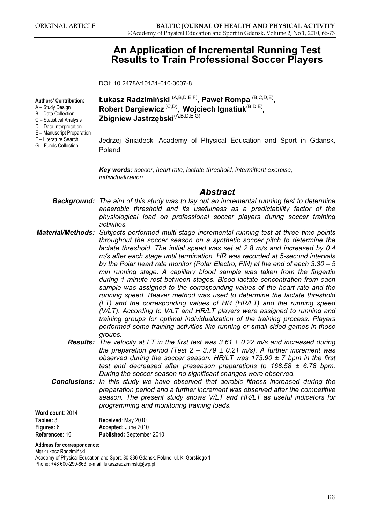# **Results to Train Professional Soccer Players** Results to Train Professional Soccer Players

DOI: 10.2478/v10131-010-0007-8

| <b>Authors' Contribution:</b><br>A - Study Design<br>B - Data Collection<br>C - Statistical Analysis<br>D - Data Interpretation<br>E - Manuscript Preparation<br>F - Literature Search<br>G - Funds Collection | Łukasz Radzimiński <sup>(A,B,D,E,F)</sup> , Paweł Rompa <sup>(B,C,D,E)</sup> ,<br>Robert Dargiewicz <sup>(C,D)</sup> , Wojciech Ignatiuk <sup>(B,D,E)</sup> ,<br>Zbigniew Jastrzębski <sup>(A,B,D,E,G)</sup><br>Jedrzej Sniadecki Academy of Physical Education and Sport in Gdansk,<br>Poland |  |  |  |  |
|----------------------------------------------------------------------------------------------------------------------------------------------------------------------------------------------------------------|------------------------------------------------------------------------------------------------------------------------------------------------------------------------------------------------------------------------------------------------------------------------------------------------|--|--|--|--|
|                                                                                                                                                                                                                | Key words: soccer, heart rate, lactate threshold, intermittent exercise,<br>individualization.                                                                                                                                                                                                 |  |  |  |  |
|                                                                                                                                                                                                                | <b>Abstract</b>                                                                                                                                                                                                                                                                                |  |  |  |  |
|                                                                                                                                                                                                                | <b>Background:</b> The aim of this study was to lay out an incremental running test to determine                                                                                                                                                                                               |  |  |  |  |
| Material/Methods:                                                                                                                                                                                              | anaerobic threshold and its usefulness as a predictability factor of the<br>physiological load on professional soccer players during soccer training<br>activities.<br>Subjects performed multi-stage incremental running test at three time points                                            |  |  |  |  |
|                                                                                                                                                                                                                | throughout the soccer season on a synthetic soccer pitch to determine the                                                                                                                                                                                                                      |  |  |  |  |
|                                                                                                                                                                                                                | lactate threshold. The initial speed was set at 2.8 m/s and increased by 0.4<br>m/s after each stage until termination. HR was recorded at 5-second intervals                                                                                                                                  |  |  |  |  |
|                                                                                                                                                                                                                | by the Polar heart rate monitor (Polar Electro, FIN) at the end of each $3.30 - 5$                                                                                                                                                                                                             |  |  |  |  |
|                                                                                                                                                                                                                | min running stage. A capillary blood sample was taken from the fingertip<br>during 1 minute rest between stages. Blood lactate concentration from each<br>sample was assigned to the corresponding values of the heart rate and the                                                            |  |  |  |  |
|                                                                                                                                                                                                                | running speed. Beaver method was used to determine the lactate threshold<br>(LT) and the corresponding values of HR (HR/LT) and the running speed                                                                                                                                              |  |  |  |  |
|                                                                                                                                                                                                                | (V/LT). According to V/LT and HR/LT players were assigned to running and<br>training groups for optimal individualization of the training process. Players                                                                                                                                     |  |  |  |  |
|                                                                                                                                                                                                                | performed some training activities like running or small-sided games in those                                                                                                                                                                                                                  |  |  |  |  |
|                                                                                                                                                                                                                | groups.<br><b>Results:</b> The velocity at LT in the first test was $3.61 \pm 0.22$ m/s and increased during                                                                                                                                                                                   |  |  |  |  |
|                                                                                                                                                                                                                | the preparation period (Test $2 - 3.79 \pm 0.21$ m/s). A further increment was                                                                                                                                                                                                                 |  |  |  |  |
|                                                                                                                                                                                                                | observed during the soccer season. HR/LT was 173.90 $\pm$ 7 bpm in the first<br>test and decreased after preseason preparations to $168.58 \pm 6.78$ bpm.                                                                                                                                      |  |  |  |  |
| <b>Conclusions:</b>                                                                                                                                                                                            | During the soccer season no significant changes were observed.                                                                                                                                                                                                                                 |  |  |  |  |
|                                                                                                                                                                                                                | In this study we have observed that aerobic fitness increased during the<br>preparation period and a further increment was observed after the competitive                                                                                                                                      |  |  |  |  |
|                                                                                                                                                                                                                | season. The present study shows V/LT and HR/LT as useful indicators for                                                                                                                                                                                                                        |  |  |  |  |
|                                                                                                                                                                                                                | programming and monitoring training loads.                                                                                                                                                                                                                                                     |  |  |  |  |
| Word count: 2014<br>Tables: 3                                                                                                                                                                                  | Received: May 2010                                                                                                                                                                                                                                                                             |  |  |  |  |
|                                                                                                                                                                                                                |                                                                                                                                                                                                                                                                                                |  |  |  |  |

| Received: May 2010        |
|---------------------------|
| Accepted: June 2010       |
| Published: September 2010 |
|                           |

Address for correspondence:

Mgr Łukasz Radzimiński

Academy of Physical Education and Sport, 80-336 Gdańsk, Poland, ul. K. Górskiego 1 Phone: +48 600-290-863, e-mail: lukaszradziminski@wp.pl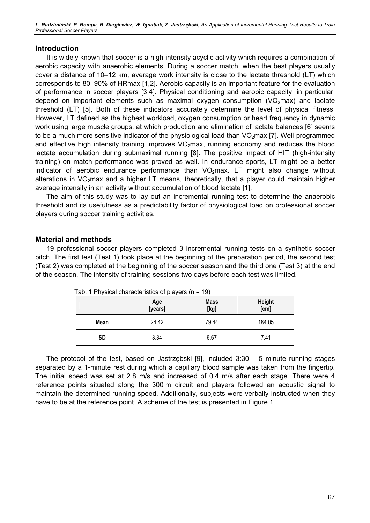Ł. Radzimiński, P. Rompa, R. Dargiewicz, W. Ignatiuk, Z. Jastrzębski, An Application of Incremental Running Test Results to Train Professional Soccer Players

#### Introduction

It is widely known that soccer is a high-intensity acyclic activity which requires a combination of aerobic capacity with anaerobic elements. During a soccer match, when the best players usually cover a distance of 10–12 km, average work intensity is close to the lactate threshold (LT) which corresponds to 80–90% of HRmax [1,2]. Aerobic capacity is an important feature for the evaluation of performance in soccer players [3,4]. Physical conditioning and aerobic capacity, in particular, depend on important elements such as maximal oxygen consumption  $(VO<sub>2</sub>max)$  and lactate threshold (LT) [5]. Both of these indicators accurately determine the level of physical fitness. However, LT defined as the highest workload, oxygen consumption or heart frequency in dynamic work using large muscle groups, at which production and elimination of lactate balances [6] seems to be a much more sensitive indicator of the physiological load than  $VO<sub>2</sub>$ max [7]. Well-programmed and effective high intensity training improves  $VO<sub>2</sub>$  max, running economy and reduces the blood lactate accumulation during submaximal running [8]. The positive impact of HIT (high-intensity training) on match performance was proved as well. In endurance sports, LT might be a better indicator of aerobic endurance performance than  $VO<sub>2</sub>$  max. LT might also change without alterations in  $VO<sub>2</sub>$ max and a higher LT means, theoretically, that a player could maintain higher average intensity in an activity without accumulation of blood lactate [1].

The aim of this study was to lay out an incremental running test to determine the anaerobic threshold and its usefulness as a predictability factor of physiological load on professional soccer players during soccer training activities.

#### Material and methods

19 professional soccer players completed 3 incremental running tests on a synthetic soccer pitch. The first test (Test 1) took place at the beginning of the preparation period, the second test (Test 2) was completed at the beginning of the soccer season and the third one (Test 3) at the end of the season. The intensity of training sessions two days before each test was limited.

|           | Age<br>[years] | <b>Mass</b><br>[kg] | <b>Height</b><br>[cm] |  |
|-----------|----------------|---------------------|-----------------------|--|
| Mean      | 24.42          | 79.44               | 184.05                |  |
| <b>SD</b> | 3.34           | 6.67                | 7.41                  |  |

Tab. 1 Physical characteristics of players  $(n = 19)$ 

The protocol of the test, based on Jastrzębski [9], included 3:30 – 5 minute running stages separated by a 1-minute rest during which a capillary blood sample was taken from the fingertip. The initial speed was set at 2.8 m/s and increased of 0.4 m/s after each stage. There were 4 reference points situated along the 300 m circuit and players followed an acoustic signal to maintain the determined running speed. Additionally, subjects were verbally instructed when they have to be at the reference point. A scheme of the test is presented in Figure 1.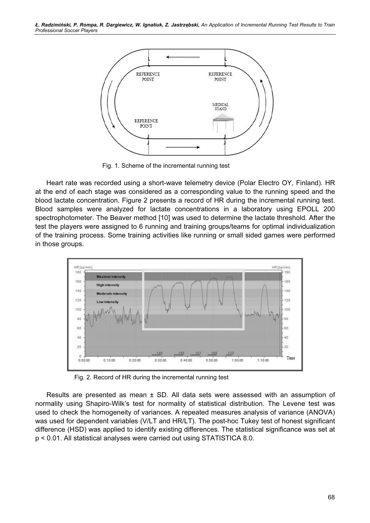

Fig. 1. Scheme of the incremental running test

Heart rate was recorded using a short-wave telemetry device (Polar Electro OY, Finland). HR at the end of each stage was considered as a corresponding value to the running speed and the blood lactate concentration. Figure 2 presents a record of HR during the incremental running test. Blood samples were analyzed for lactate concentrations in a laboratory using EPOLL 200 spectrophotometer. The Beaver method [10] was used to determine the lactate threshold. After the test the players were assigned to 6 running and training groups/teams for optimal individualization of the training process. Some training activities like running or small sided games were performed in those groups.



Fig. 2. Record of HR during the incremental running test

Results are presented as mean ± SD. All data sets were assessed with an assumption of normality using Shapiro-Wilk's test for normality of statistical distribution. The Levene test was used to check the homogeneity of variances. A repeated measures analysis of variance (ANOVA) was used for dependent variables (V/LT and HR/LT). The post-hoc Tukey test of honest significant difference (HSD) was applied to identify existing differences. The statistical significance was set at p < 0.01. All statistical analyses were carried out using STATISTICA 8.0.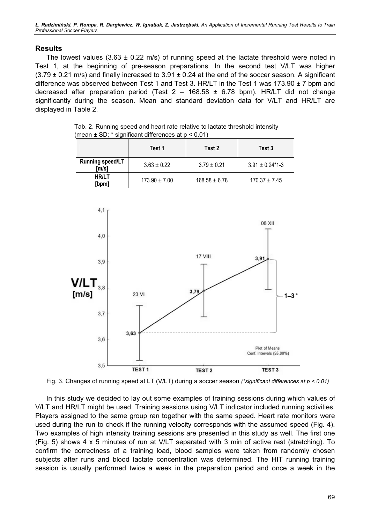Ł. Radzimiński, P. Rompa, R. Dargiewicz, W. Ignatiuk, Z. Jastrzębski, An Application of Incremental Running Test Results to Train Professional Soccer Players

#### **Results**

The lowest values (3.63  $\pm$  0.22 m/s) of running speed at the lactate threshold were noted in Test 1, at the beginning of pre-season preparations. In the second test V/LT was higher  $(3.79 \pm 0.21 \text{ m/s})$  and finally increased to  $3.91 \pm 0.24$  at the end of the soccer season. A significant difference was observed between Test 1 and Test 3. HR/LT in the Test 1 was 173.90 ± 7 bpm and decreased after preparation period (Test  $2 - 168.58 \pm 6.78$  bpm). HR/LT did not change significantly during the season. Mean and standard deviation data for V/LT and HR/LT are displayed in Table 2.

|                                             | Test 1            | Test 2            | Test 3                           |
|---------------------------------------------|-------------------|-------------------|----------------------------------|
| <b>Running speed/LT</b><br>$\mathsf{[m/s]}$ | $3.63 \pm 0.22$   | $3.79 \pm 0.21$   | $3.91 \pm 0.24$ <sup>*</sup> 1-3 |
| HR/LT<br>[bpm]                              | $173.90 \pm 7.00$ | $168.58 \pm 6.78$ | $170.37 \pm 7.45$                |

Tab. 2. Running speed and heart rate relative to lactate threshold intensity (mean  $\pm$  SD;  $*$  significant differences at  $p < 0.01$ )



Fig. 3. Changes of running speed at LT (V/LT) during a soccer season (\*significant differences at  $p < 0.01$ )

In this study we decided to lay out some examples of training sessions during which values of V/LT and HR/LT might be used. Training sessions using V/LT indicator included running activities. Players assigned to the same group ran together with the same speed. Heart rate monitors were used during the run to check if the running velocity corresponds with the assumed speed (Fig. 4). Two examples of high intensity training sessions are presented in this study as well. The first one (Fig. 5) shows 4 x 5 minutes of run at V/LT separated with 3 min of active rest (stretching). To confirm the correctness of a training load, blood samples were taken from randomly chosen subjects after runs and blood lactate concentration was determined. The HIT running training session is usually performed twice a week in the preparation period and once a week in the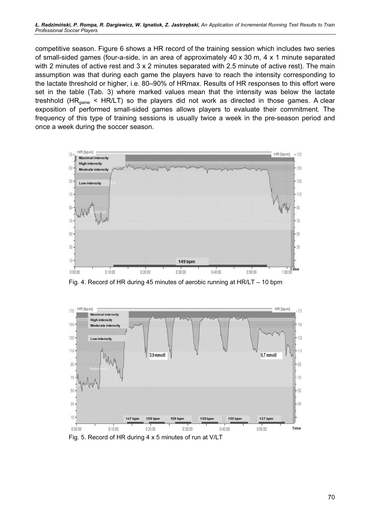competitive season. Figure 6 shows a HR record of the training session which includes two series of small-sided games (four-a-side, in an area of approximately 40 x 30 m, 4 x 1 minute separated with 2 minutes of active rest and 3 x 2 minutes separated with 2.5 minute of active rest). The main assumption was that during each game the players have to reach the intensity corresponding to the lactate threshold or higher, i.e. 80–90% of HRmax. Results of HR responses to this effort were set in the table (Tab. 3) where marked values mean that the intensity was below the lactate treshhold (HR<sub>game</sub> < HR/LT) so the players did not work as directed in those games. A clear exposition of performed small-sided games allows players to evaluate their commitment. The frequency of this type of training sessions is usually twice a week in the pre-season period and once a week during the soccer season.



Fig. 4. Record of HR during 45 minutes of aerobic running at HR/LT – 10 bpm



Fig. 5. Record of HR during 4 x 5 minutes of run at V/LT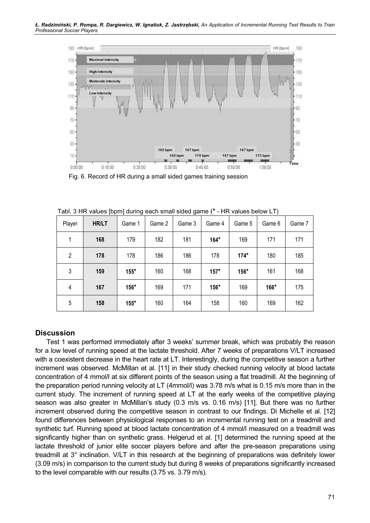

Fig. 6. Record of HR during a small sided games training session

| Player | HR/LT | Game 1 | Game 2 | Game 3 | Game 4 | Game 5 | Game 6 | Game 7 |
|--------|-------|--------|--------|--------|--------|--------|--------|--------|
| 1      | 168   | 179    | 182    | 181    | $164*$ | 169    | 171    | 171    |
| 2      | 178   | 178    | 186    | 186    | 178    | $174*$ | 180    | 185    |
| 3      | 159   | $155*$ | 160    | 168    | $157*$ | $156*$ | 161    | 168    |
| 4      | 167   | $156*$ | 169    | 171    | $156*$ | 169    | 166*   | 175    |
| 5      | 158   | $155*$ | 160    | 164    | 158    | 160    | 169    | 162    |

Tabl. 3 HR values [bpm] during each small sided game (\* - HR values below LT)

#### **Discussion**

Test 1 was performed immediately after 3 weeks' summer break, which was probably the reason for a low level of running speed at the lactate threshold. After 7 weeks of preparations V/LT increased with a coexistent decrease in the heart rate at LT. Interestingly, during the competitive season a further increment was observed. McMillan et al. [11] in their study checked running velocity at blood lactate concentration of 4 mmol/l at six different points of the season using a flat treadmill. At the beginning of the preparation period running velocity at LT (4mmol/l) was 3.78 m/s what is 0.15 m/s more than in the current study. The increment of running speed at LT at the early weeks of the competitive playing season was also greater in McMillan's study (0.3 m/s vs. 0.16 m/s) [11]. But there was no further increment observed during the competitive season in contrast to our findings. Di Michelle et al. [12] found differences between physiological responses to an incremental running test on a treadmill and synthetic turf. Running speed at blood lactate concentration of 4 mmol/l measured on a treadmill was significantly higher than on synthetic grass. Helgerud et al. [1] determined the running speed at the lactate threshold of junior elite soccer players before and after the pre-season preparations using treadmill at 3° inclination. V/LT in this research at the beginning of preparations was definitely lower (3.09 m/s) in comparison to the current study but during 8 weeks of preparations significantly increased to the level comparable with our results (3.75 vs. 3.79 m/s).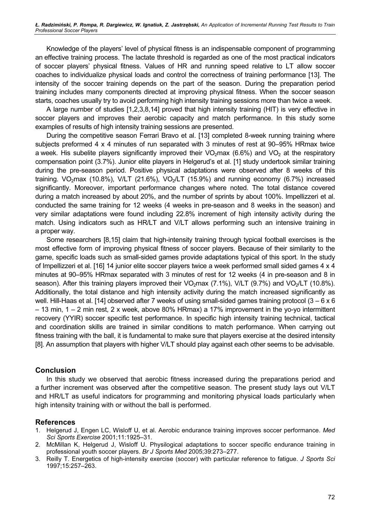Knowledge of the players' level of physical fitness is an indispensable component of programming an effective training process. The lactate threshold is regarded as one of the most practical indicators of soccer players' physical fitness. Values of HR and running speed relative to LT allow soccer coaches to individualize physical loads and control the correctness of training performance [13]. The intensity of the soccer training depends on the part of the season. During the preparation period training includes many components directed at improving physical fitness. When the soccer season starts, coaches usually try to avoid performing high intensity training sessions more than twice a week.

A large number of studies [1,2,3,8,14] proved that high intensity training (HIT) is very effective in soccer players and improves their aerobic capacity and match performance. In this study some examples of results of high intensity training sessions are presented.

During the competitive season Ferrari Bravo et al. [13] completed 8-week running training where subjects preformed 4 x 4 minutes of run separated with 3 minutes of rest at 90–95% HRmax twice a week. His subelite players significantly improved their  $VO<sub>2</sub>$  max (6.6%) and  $VO<sub>2</sub>$  at the respiratory compensation point (3.7%). Junior elite players in Helgerud's et al. [1] study undertook similar training during the pre-season period. Positive physical adaptations were observed after 8 weeks of this training. VO<sub>2</sub>max (10.8%), V/LT (21.6%), VO<sub>2</sub>/LT (15.9%) and running economy (6.7%) increased significantly. Moreover, important performance changes where noted. The total distance covered during a match increased by about 20%, and the number of sprints by about 100%. Impellizzeri et al. conducted the same training for 12 weeks (4 weeks in pre-season and 8 weeks in the season) and very similar adaptations were found including 22.8% increment of high intensity activity during the match. Using indicators such as HR/LT and V/LT allows performing such an intensive training in a proper way.

Some researchers [8,15] claim that high-intensity training through typical football exercises is the most effective form of improving physical fitness of soccer players. Because of their similarity to the game, specific loads such as small-sided games provide adaptations typical of this sport. In the study of Impellizzeri et al. [16] 14 junior elite soccer players twice a week performed small sided games 4 x 4 minutes at 90–95% HRmax separated with 3 minutes of rest for 12 weeks (4 in pre-season and 8 in season). After this training players improved their VO<sub>2</sub>max (7.1%), V/LT (9.7%) and VO<sub>2</sub>/LT (10.8%). Additionally, the total distance and high intensity activity during the match increased significantly as well. Hill-Haas et al. [14] observed after 7 weeks of using small-sided games training protocol (3 – 6 x 6 – 13 min, 1 – 2 min rest, 2 x week, above 80% HRmax) a 17% improvement in the yo-yo intermittent recovery (YYIR) soccer specific test performance. In specific high intensity training technical, tactical and coordination skills are trained in similar conditions to match performance. When carrying out fitness training with the ball, it is fundamental to make sure that players exercise at the desired intensity [8]. An assumption that players with higher V/LT should play against each other seems to be advisable.

#### Conclusion

In this study we observed that aerobic fitness increased during the preparations period and a further increment was observed after the competitive season. The present study lays out V/LT and HR/LT as useful indicators for programming and monitoring physical loads particularly when high intensity training with or without the ball is performed.

### References

- 1. Helgerud J, Engen LC, Wisloff U, et al. Aerobic endurance training improves soccer performance. Med Sci Sports Exercise 2001;11:1925–31.
- 2. McMillan K, Helgerud J, Wisloff U. Physilogical adaptations to soccer specific endurance training in professional youth soccer players. Br J Sports Med 2005;39:273–277.
- 3. Reilly T. Energetics of high-intensity exercise (soccer) with particular reference to fatigue. J Sports Sci 1997;15:257–263.